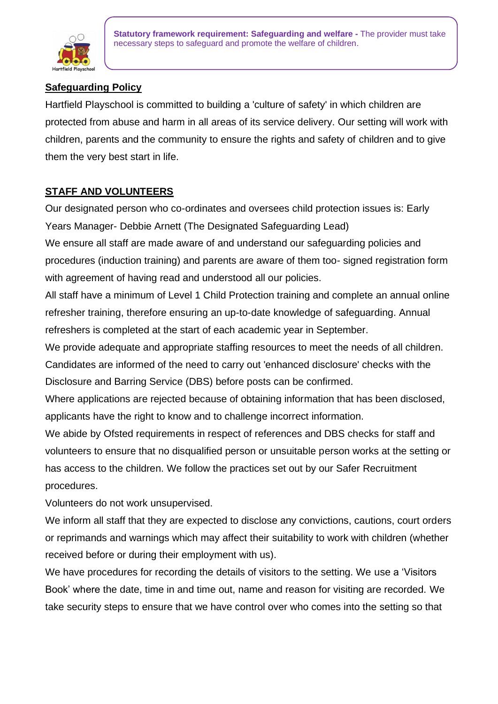

**Statutory framework requirement: Safeguarding and welfare -** The provider must take necessary steps to safeguard and promote the welfare of children.

# **Safeguarding Policy**

Hartfield Playschool is committed to building a 'culture of safety' in which children are protected from abuse and harm in all areas of its service delivery. Our setting will work with children, parents and the community to ensure the rights and safety of children and to give them the very best start in life.

### **STAFF AND VOLUNTEERS**

Our designated person who co-ordinates and oversees child protection issues is: Early Years Manager- Debbie Arnett (The Designated Safeguarding Lead)

We ensure all staff are made aware of and understand our safeguarding policies and procedures (induction training) and parents are aware of them too- signed registration form with agreement of having read and understood all our policies.

All staff have a minimum of Level 1 Child Protection training and complete an annual online refresher training, therefore ensuring an up-to-date knowledge of safeguarding. Annual refreshers is completed at the start of each academic year in September.

We provide adequate and appropriate staffing resources to meet the needs of all children. Candidates are informed of the need to carry out 'enhanced disclosure' checks with the Disclosure and Barring Service (DBS) before posts can be confirmed.

Where applications are rejected because of obtaining information that has been disclosed, applicants have the right to know and to challenge incorrect information.

We abide by Ofsted requirements in respect of references and DBS checks for staff and volunteers to ensure that no disqualified person or unsuitable person works at the setting or has access to the children. We follow the practices set out by our Safer Recruitment procedures.

Volunteers do not work unsupervised.

We inform all staff that they are expected to disclose any convictions, cautions, court orders or reprimands and warnings which may affect their suitability to work with children (whether received before or during their employment with us).

We have procedures for recording the details of visitors to the setting. We use a 'Visitors Book' where the date, time in and time out, name and reason for visiting are recorded. We take security steps to ensure that we have control over who comes into the setting so that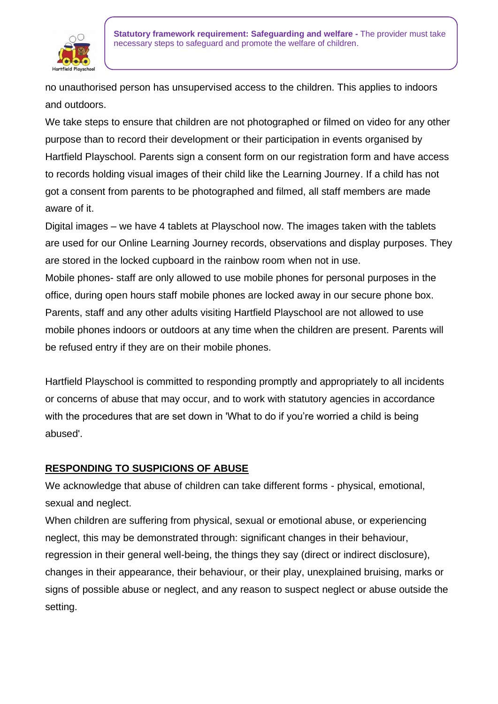

no unauthorised person has unsupervised access to the children. This applies to indoors and outdoors.

We take steps to ensure that children are not photographed or filmed on video for any other purpose than to record their development or their participation in events organised by Hartfield Playschool. Parents sign a consent form on our registration form and have access to records holding visual images of their child like the Learning Journey. If a child has not got a consent from parents to be photographed and filmed, all staff members are made aware of it.

Digital images – we have 4 tablets at Playschool now. The images taken with the tablets are used for our Online Learning Journey records, observations and display purposes. They are stored in the locked cupboard in the rainbow room when not in use.

Mobile phones- staff are only allowed to use mobile phones for personal purposes in the office, during open hours staff mobile phones are locked away in our secure phone box. Parents, staff and any other adults visiting Hartfield Playschool are not allowed to use mobile phones indoors or outdoors at any time when the children are present. Parents will be refused entry if they are on their mobile phones.

Hartfield Playschool is committed to responding promptly and appropriately to all incidents or concerns of abuse that may occur, and to work with statutory agencies in accordance with the procedures that are set down in 'What to do if you're worried a child is being abused'.

## **RESPONDING TO SUSPICIONS OF ABUSE**

We acknowledge that abuse of children can take different forms - physical, emotional, sexual and neglect.

When children are suffering from physical, sexual or emotional abuse, or experiencing neglect, this may be demonstrated through: significant changes in their behaviour, regression in their general well-being, the things they say (direct or indirect disclosure), changes in their appearance, their behaviour, or their play, unexplained bruising, marks or signs of possible abuse or neglect, and any reason to suspect neglect or abuse outside the setting.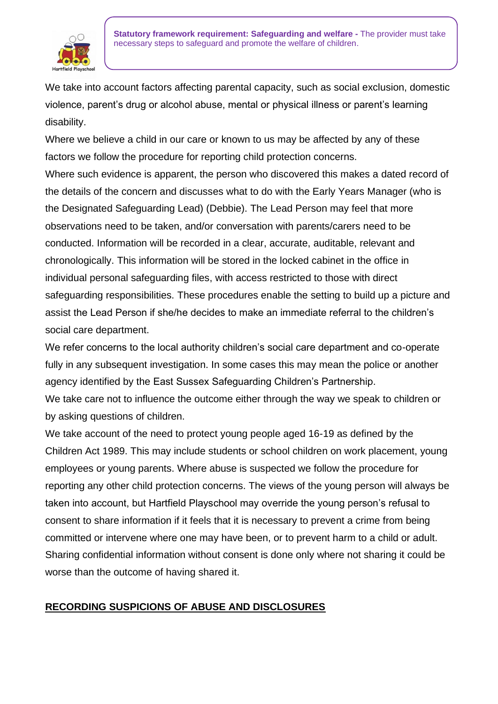

We take into account factors affecting parental capacity, such as social exclusion, domestic violence, parent's drug or alcohol abuse, mental or physical illness or parent's learning disability.

Where we believe a child in our care or known to us may be affected by any of these factors we follow the procedure for reporting child protection concerns.

Where such evidence is apparent, the person who discovered this makes a dated record of the details of the concern and discusses what to do with the Early Years Manager (who is the Designated Safeguarding Lead) (Debbie). The Lead Person may feel that more observations need to be taken, and/or conversation with parents/carers need to be conducted. Information will be recorded in a clear, accurate, auditable, relevant and chronologically. This information will be stored in the locked cabinet in the office in individual personal safeguarding files, with access restricted to those with direct safeguarding responsibilities. These procedures enable the setting to build up a picture and assist the Lead Person if she/he decides to make an immediate referral to the children's social care department.

We refer concerns to the local authority children's social care department and co-operate fully in any subsequent investigation. In some cases this may mean the police or another agency identified by the East Sussex Safeguarding Children's Partnership.

We take care not to influence the outcome either through the way we speak to children or by asking questions of children.

We take account of the need to protect young people aged 16-19 as defined by the Children Act 1989. This may include students or school children on work placement, young employees or young parents. Where abuse is suspected we follow the procedure for reporting any other child protection concerns. The views of the young person will always be taken into account, but Hartfield Playschool may override the young person's refusal to consent to share information if it feels that it is necessary to prevent a crime from being committed or intervene where one may have been, or to prevent harm to a child or adult. Sharing confidential information without consent is done only where not sharing it could be worse than the outcome of having shared it.

## **RECORDING SUSPICIONS OF ABUSE AND DISCLOSURES**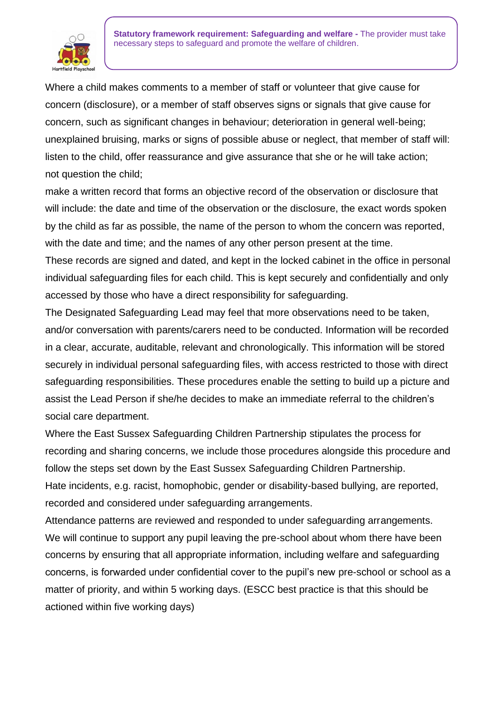

Where a child makes comments to a member of staff or volunteer that give cause for concern (disclosure), or a member of staff observes signs or signals that give cause for concern, such as significant changes in behaviour; deterioration in general well-being; unexplained bruising, marks or signs of possible abuse or neglect, that member of staff will: listen to the child, offer reassurance and give assurance that she or he will take action; not question the child;

make a written record that forms an objective record of the observation or disclosure that will include: the date and time of the observation or the disclosure, the exact words spoken by the child as far as possible, the name of the person to whom the concern was reported, with the date and time; and the names of any other person present at the time.

These records are signed and dated, and kept in the locked cabinet in the office in personal individual safeguarding files for each child. This is kept securely and confidentially and only accessed by those who have a direct responsibility for safeguarding.

The Designated Safeguarding Lead may feel that more observations need to be taken, and/or conversation with parents/carers need to be conducted. Information will be recorded in a clear, accurate, auditable, relevant and chronologically. This information will be stored securely in individual personal safeguarding files, with access restricted to those with direct safeguarding responsibilities. These procedures enable the setting to build up a picture and assist the Lead Person if she/he decides to make an immediate referral to the children's social care department.

Where the East Sussex Safeguarding Children Partnership stipulates the process for recording and sharing concerns, we include those procedures alongside this procedure and follow the steps set down by the East Sussex Safeguarding Children Partnership. Hate incidents, e.g. racist, homophobic, gender or disability-based bullying, are reported, recorded and considered under safeguarding arrangements.

Attendance patterns are reviewed and responded to under safeguarding arrangements. We will continue to support any pupil leaving the pre-school about whom there have been concerns by ensuring that all appropriate information, including welfare and safeguarding concerns, is forwarded under confidential cover to the pupil's new pre-school or school as a matter of priority, and within 5 working days. (ESCC best practice is that this should be actioned within five working days)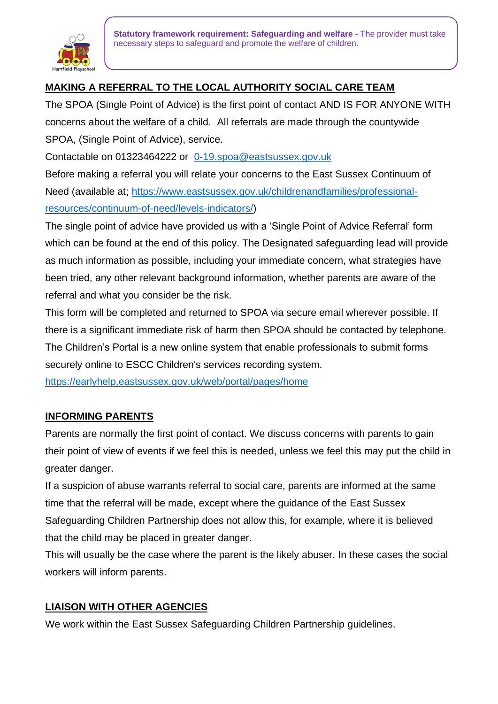

**Statutory framework requirement: Safeguarding and welfare -** The provider must take necessary steps to safeguard and promote the welfare of children.

# **MAKING A REFERRAL TO THE LOCAL AUTHORITY SOCIAL CARE TEAM**

The SPOA (Single Point of Advice) is the first point of contact AND IS FOR ANYONE WITH concerns about the welfare of a child. All referrals are made through the countywide SPOA, (Single Point of Advice), service.

Contactable on 01323464222 or [0-19.spoa@eastsussex.gov.uk](mailto:0-19.spoa@eastsussex.gov.uk)

Before making a referral you will relate your concerns to the East Sussex Continuum of Need (available at; [https://www.eastsussex.gov.uk/childrenandfamilies/professional](https://www.eastsussex.gov.uk/childrenandfamilies/professional-resources/continuum-of-need/levels-indicators/)[resources/continuum-of-need/levels-indicators/\)](https://www.eastsussex.gov.uk/childrenandfamilies/professional-resources/continuum-of-need/levels-indicators/)

The single point of advice have provided us with a 'Single Point of Advice Referral' form which can be found at the end of this policy. The Designated safeguarding lead will provide as much information as possible, including your immediate concern, what strategies have been tried, any other relevant background information, whether parents are aware of the referral and what you consider be the risk.

This form will be completed and returned to SPOA via secure email wherever possible. If there is a significant immediate risk of harm then SPOA should be contacted by telephone. The Children's Portal is a new online system that enable professionals to submit forms securely online to ESCC Children's services recording system.

<https://earlyhelp.eastsussex.gov.uk/web/portal/pages/home>

### **INFORMING PARENTS**

Parents are normally the first point of contact. We discuss concerns with parents to gain their point of view of events if we feel this is needed, unless we feel this may put the child in greater danger.

If a suspicion of abuse warrants referral to social care, parents are informed at the same time that the referral will be made, except where the guidance of the East Sussex Safeguarding Children Partnership does not allow this, for example, where it is believed that the child may be placed in greater danger.

This will usually be the case where the parent is the likely abuser. In these cases the social workers will inform parents.

### **LIAISON WITH OTHER AGENCIES**

We work within the East Sussex Safeguarding Children Partnership guidelines.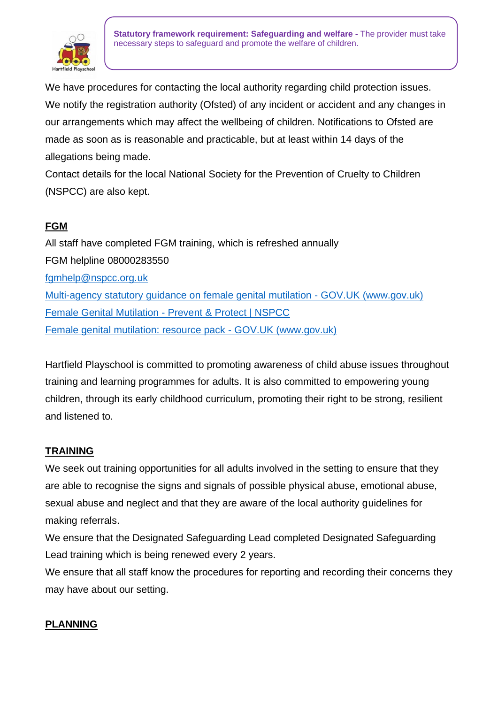

**Statutory framework requirement: Safeguarding and welfare -** The provider must take necessary steps to safeguard and promote the welfare of children.

We have procedures for contacting the local authority regarding child protection issues. We notify the registration authority (Ofsted) of any incident or accident and any changes in our arrangements which may affect the wellbeing of children. Notifications to Ofsted are made as soon as is reasonable and practicable, but at least within 14 days of the allegations being made.

Contact details for the local National Society for the Prevention of Cruelty to Children (NSPCC) are also kept.

# **FGM**

All staff have completed FGM training, which is refreshed annually FGM helpline 08000283550 [fgmhelp@nspcc.org.uk](mailto:fgmhelp@nspcc.org.uk) [Multi-agency statutory guidance on female genital mutilation -](https://www.gov.uk/government/publications/multi-agency-statutory-guidance-on-female-genital-mutilation) GOV.UK (www.gov.uk) Female Genital Mutilation - [Prevent & Protect | NSPCC](https://www.nspcc.org.uk/what-is-child-abuse/types-of-abuse/female-genital-mutilation-fgm/) [Female genital mutilation: resource pack -](https://www.gov.uk/government/publications/female-genital-mutilation-resource-pack/female-genital-mutilation-resource-pack) GOV.UK (www.gov.uk)

Hartfield Playschool is committed to promoting awareness of child abuse issues throughout training and learning programmes for adults. It is also committed to empowering young children, through its early childhood curriculum, promoting their right to be strong, resilient and listened to.

## **TRAINING**

We seek out training opportunities for all adults involved in the setting to ensure that they are able to recognise the signs and signals of possible physical abuse, emotional abuse, sexual abuse and neglect and that they are aware of the local authority guidelines for making referrals.

We ensure that the Designated Safeguarding Lead completed Designated Safeguarding Lead training which is being renewed every 2 years.

We ensure that all staff know the procedures for reporting and recording their concerns they may have about our setting.

### **PLANNING**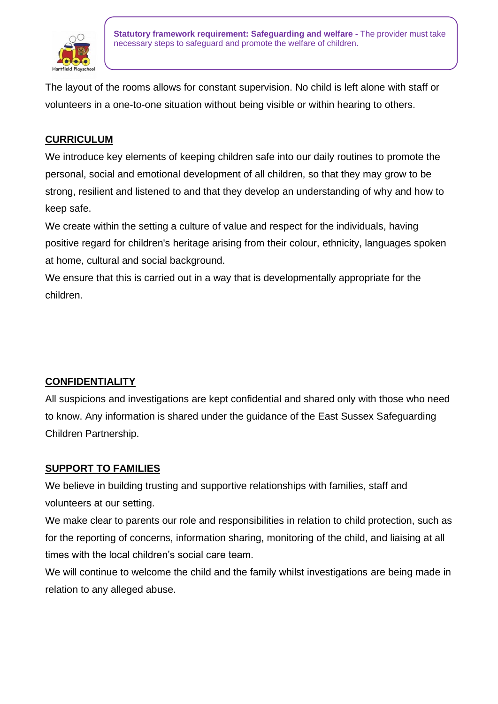

The layout of the rooms allows for constant supervision. No child is left alone with staff or volunteers in a one-to-one situation without being visible or within hearing to others.

## **CURRICULUM**

We introduce key elements of keeping children safe into our daily routines to promote the personal, social and emotional development of all children, so that they may grow to be strong, resilient and listened to and that they develop an understanding of why and how to keep safe.

We create within the setting a culture of value and respect for the individuals, having positive regard for children's heritage arising from their colour, ethnicity, languages spoken at home, cultural and social background.

We ensure that this is carried out in a way that is developmentally appropriate for the children.

## **CONFIDENTIALITY**

All suspicions and investigations are kept confidential and shared only with those who need to know. Any information is shared under the guidance of the East Sussex Safeguarding Children Partnership.

### **SUPPORT TO FAMILIES**

We believe in building trusting and supportive relationships with families, staff and volunteers at our setting.

We make clear to parents our role and responsibilities in relation to child protection, such as for the reporting of concerns, information sharing, monitoring of the child, and liaising at all times with the local children's social care team.

We will continue to welcome the child and the family whilst investigations are being made in relation to any alleged abuse.